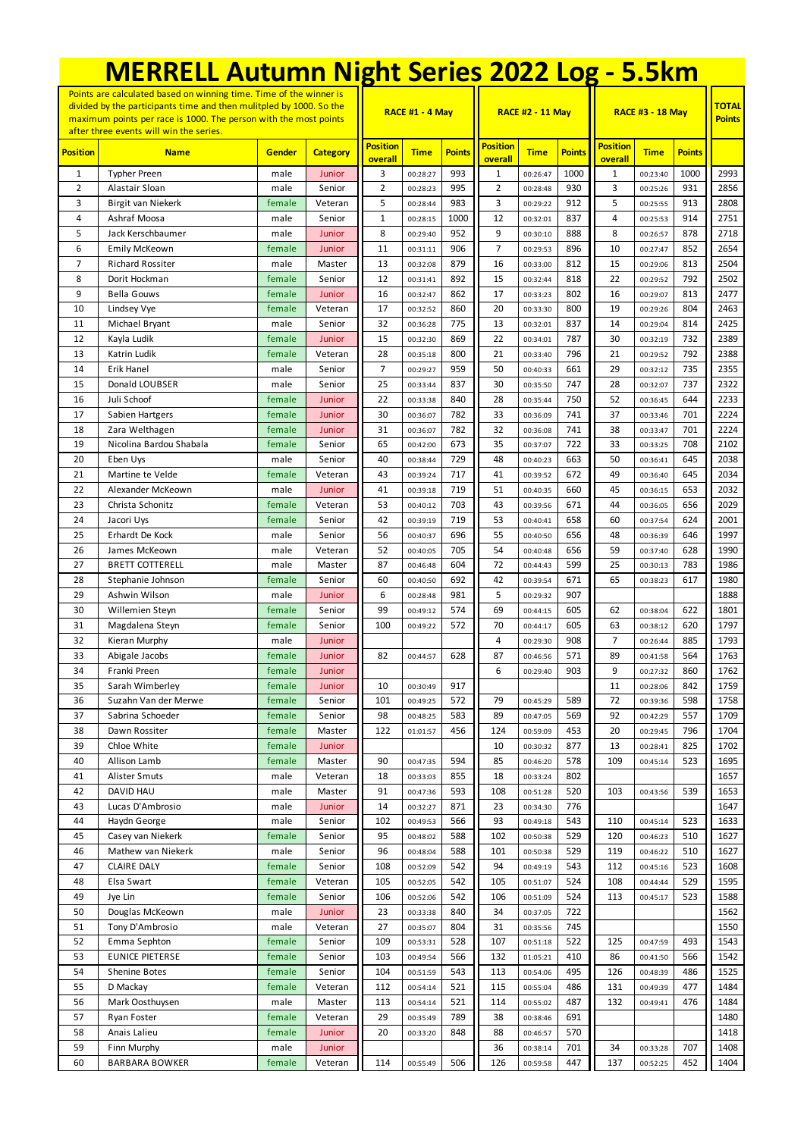|                                                                                                                                                                                                                                                          | <b>MERRELL Autumn Night Series 2022 Log - 5.5km</b> |                  |                   |                            |                        |               |                            |                         |               |                            |                               |               |              |
|----------------------------------------------------------------------------------------------------------------------------------------------------------------------------------------------------------------------------------------------------------|-----------------------------------------------------|------------------|-------------------|----------------------------|------------------------|---------------|----------------------------|-------------------------|---------------|----------------------------|-------------------------------|---------------|--------------|
| Points are calculated based on winning time. Time of the winner is<br>divided by the participants time and then mulitpled by 1000. So the<br>maximum points per race is 1000. The person with the most points<br>after three events will win the series. |                                                     |                  |                   |                            | <b>RACE #1 - 4 May</b> |               |                            | <b>RACE #2 - 11 May</b> |               | <b>RACE #3 - 18 May</b>    | <b>TOTAL</b><br><b>Points</b> |               |              |
| <b>Position</b>                                                                                                                                                                                                                                          | <b>Name</b>                                         | Gender           | <b>Category</b>   | <b>Position</b><br>overall | <b>Time</b>            | <b>Points</b> | <b>Position</b><br>overall | <b>Time</b>             | <b>Points</b> | <b>Position</b><br>overall | <b>Time</b>                   | <b>Points</b> |              |
| $\mathbf{1}$                                                                                                                                                                                                                                             | <b>Typher Preen</b>                                 | male             | Junior            | 3                          | 00:28:27               | 993           | 1                          | 00:26:47                | 1000          | $\mathbf{1}$               | 00:23:40                      | 1000          | 2993         |
| 2                                                                                                                                                                                                                                                        | Alastair Sloan                                      | male             | Senior            | 2                          | 00:28:23               | 995           | $\overline{2}$             | 00:28:48                | 930           | 3                          | 00:25:26                      | 931           | 2856         |
| 3                                                                                                                                                                                                                                                        | Birgit van Niekerk                                  | female           | Veteran           | 5                          | 00:28:44               | 983           | 3                          | 00:29:22                | 912           | 5                          | 00:25:55                      | 913           | 2808         |
| 4                                                                                                                                                                                                                                                        | Ashraf Moosa                                        | male             | Senior            | 1                          | 00:28:15               | 1000          | 12                         | 00:32:01                | 837           | 4                          | 00:25:53                      | 914           | 2751         |
| 5                                                                                                                                                                                                                                                        | Jack Kerschbaumer                                   | male             | Junior            | 8                          | 00:29:40               | 952           | 9                          | 00:30:10                | 888           | 8                          | 00:26:57                      | 878           | 2718         |
| 6<br>$\overline{7}$                                                                                                                                                                                                                                      | <b>Emily McKeown</b><br><b>Richard Rossiter</b>     | female           | Junior<br>Master  | 11<br>13                   | 00:31:11               | 906<br>879    | $\overline{7}$<br>16       | 00:29:53                | 896<br>812    | 10<br>15                   | 00:27:47                      | 852<br>813    | 2654<br>2504 |
| 8                                                                                                                                                                                                                                                        | Dorit Hockman                                       | male<br>female   | Senior            | 12                         | 00:32:08<br>00:31:41   | 892           | 15                         | 00:33:00<br>00:32:44    | 818           | 22                         | 00:29:06<br>00:29:52          | 792           | 2502         |
| 9                                                                                                                                                                                                                                                        | <b>Bella Gouws</b>                                  | female           | Junior            | 16                         | 00:32:47               | 862           | 17                         | 00:33:23                | 802           | 16                         | 00:29:07                      | 813           | 2477         |
| 10                                                                                                                                                                                                                                                       | Lindsey Vye                                         | female           | Veteran           | 17                         | 00:32:52               | 860           | 20                         | 00:33:30                | 800           | 19                         | 00:29:26                      | 804           | 2463         |
| 11                                                                                                                                                                                                                                                       | Michael Bryant                                      | male             | Senior            | 32                         | 00:36:28               | 775           | 13                         | 00:32:01                | 837           | 14                         | 00:29:04                      | 814           | 2425         |
| 12                                                                                                                                                                                                                                                       | Kayla Ludik                                         | female           | Junior            | 15                         | 00:32:30               | 869           | 22                         | 00:34:01                | 787           | 30                         | 00:32:19                      | 732           | 2389         |
| 13                                                                                                                                                                                                                                                       | Katrin Ludik                                        | female           | Veteran           | 28                         | 00:35:18               | 800           | 21                         | 00:33:40                | 796           | 21                         | 00:29:52                      | 792           | 2388         |
| 14                                                                                                                                                                                                                                                       | Erik Hanel                                          | male             | Senior            | $\overline{7}$             | 00:29:27               | 959           | 50                         | 00:40:33                | 661           | 29                         | 00:32:12                      | 735           | 2355         |
| 15                                                                                                                                                                                                                                                       | Donald LOUBSER                                      | male             | Senior            | 25                         | 00:33:44               | 837           | 30                         | 00:35:50                | 747           | 28                         | 00:32:07                      | 737           | 2322         |
| 16                                                                                                                                                                                                                                                       | Juli Schoof                                         | female           | Junior            | 22                         | 00:33:38               | 840           | 28                         | 00:35:44                | 750           | 52                         | 00:36:45                      | 644           | 2233         |
| 17                                                                                                                                                                                                                                                       | Sabien Hartgers                                     | female           | Junior            | 30                         | 00:36:07               | 782           | 33                         | 00:36:09                | 741           | 37                         | 00:33:46                      | 701           | 2224         |
| 18<br>19                                                                                                                                                                                                                                                 | Zara Welthagen<br>Nicolina Bardou Shabala           | female<br>female | Junior<br>Senior  | 31<br>65                   | 00:36:07               | 782<br>673    | 32<br>35                   | 00:36:08                | 741<br>722    | 38<br>33                   | 00:33:47                      | 701<br>708    | 2224<br>2102 |
| 20                                                                                                                                                                                                                                                       | Eben Uys                                            | male             | Senior            | 40                         | 00:42:00<br>00:38:44   | 729           | 48                         | 00:37:07<br>00:40:23    | 663           | 50                         | 00:33:25<br>00:36:41          | 645           | 2038         |
| 21                                                                                                                                                                                                                                                       | Martine te Velde                                    | female           | Veteran           | 43                         | 00:39:24               | 717           | 41                         | 00:39:52                | 672           | 49                         | 00:36:40                      | 645           | 2034         |
| 22                                                                                                                                                                                                                                                       | Alexander McKeown                                   | male             | Junior            | 41                         | 00:39:18               | 719           | 51                         | 00:40:35                | 660           | 45                         | 00:36:15                      | 653           | 2032         |
| 23                                                                                                                                                                                                                                                       | Christa Schonitz                                    | female           | Veteran           | 53                         | 00:40:12               | 703           | 43                         | 00:39:56                | 671           | 44                         | 00:36:05                      | 656           | 2029         |
| 24                                                                                                                                                                                                                                                       | Jacori Uys                                          | female           | Senior            | 42                         | 00:39:19               | 719           | 53                         | 00:40:41                | 658           | 60                         | 00:37:54                      | 624           | 2001         |
| 25                                                                                                                                                                                                                                                       | Erhardt De Kock                                     | male             | Senior            | 56                         | 00:40:37               | 696           | 55                         | 00:40:50                | 656           | 48                         | 00:36:39                      | 646           | 1997         |
| 26                                                                                                                                                                                                                                                       | James McKeown                                       | male             | Veteran           | 52                         | 00:40:05               | 705           | 54                         | 00:40:48                | 656           | 59                         | 00:37:40                      | 628           | 1990         |
| 27                                                                                                                                                                                                                                                       | <b>BRETT COTTERELL</b>                              | male             | Master            | 87                         | 00:46:48               | 604           | 72                         | 00:44:43                | 599           | 25                         | 00:30:13                      | 783           | 1986         |
| 28                                                                                                                                                                                                                                                       | Stephanie Johnson                                   | female           | Senior            | 60                         | 00:40:50               | 692           | 42                         | 00:39:54                | 671           | 65                         | 00:38:23                      | 617           | 1980         |
| 29                                                                                                                                                                                                                                                       | Ashwin Wilson                                       | male             | Junior            | 6                          | 00:28:48               | 981           | 5                          | 00:29:32                | 907           |                            |                               |               | 1888         |
| 30                                                                                                                                                                                                                                                       | Willemien Steyn                                     | female           | Senior            | 99                         | 00:49:12               | 574           | 69                         | 00:44:15                | 605           | 62                         | 00:38:04                      | 622           | 1801         |
| 31<br>32                                                                                                                                                                                                                                                 | Magdalena Steyn                                     | female           | Senior            | 100                        | 00:49:22               | 572           | 70<br>4                    | 00:44:17                | 605<br>908    | 63<br>$\overline{7}$       | 00:38:12                      | 620<br>885    | 1797<br>1793 |
| 33                                                                                                                                                                                                                                                       | Kieran Murphy<br>Abigale Jacobs                     | male<br>female   | Junior<br>Junior  | 82                         | 00:44:57               | 628           | 87                         | 00:29:30<br>00:46:56    | 571           | 89                         | 00:26:44<br>00:41:58          | 564           | 1763         |
| 34                                                                                                                                                                                                                                                       | Franki Preen                                        | female           | Junior            |                            |                        |               | 6                          | 00:29:40                | 903           | 9                          | 00:27:32                      | 860           | 1762         |
| 35                                                                                                                                                                                                                                                       | Sarah Wimberley                                     | female           | Junior            | 10                         | 00:30:49               | 917           |                            |                         |               | 11                         | 00:28:06                      | 842           | 1759         |
| 36                                                                                                                                                                                                                                                       | Suzahn Van der Merwe                                | female           | Senior            | 101                        | 00:49:25               | 572           | 79                         | 00:45:29                | 589           | 72                         | 00:39:36                      | 598           | 1758         |
| 37                                                                                                                                                                                                                                                       | Sabrina Schoeder                                    | female           | Senior            | 98                         | 00:48:25               | 583           | 89                         | 00:47:05                | 569           | 92                         | 00:42:29                      | 557           | 1709         |
| 38                                                                                                                                                                                                                                                       | Dawn Rossiter                                       | female           | Master            | 122                        | 01:01:57               | 456           | 124                        | 00:59:09                | 453           | 20                         | 00:29:45                      | 796           | 1704         |
| 39                                                                                                                                                                                                                                                       | Chloe White                                         | female           | Junior            |                            |                        |               | 10                         | 00:30:32                | 877           | 13                         | 00:28:41                      | 825           | 1702         |
| 40                                                                                                                                                                                                                                                       | Allison Lamb                                        | female           | Master            | 90                         | 00:47:35               | 594           | 85                         | 00:46:20                | 578           | 109                        | 00:45:14                      | 523           | 1695         |
| 41                                                                                                                                                                                                                                                       | Alister Smuts                                       | male             | Veteran           | 18                         | 00:33:03               | 855           | 18                         | 00:33:24                | 802           |                            |                               |               | 1657         |
| 42                                                                                                                                                                                                                                                       | DAVID HAU                                           | male             | Master            | 91                         | 00:47:36               | 593           | 108                        | 00:51:28                | 520           | 103                        | 00:43:56                      | 539           | 1653         |
| 43                                                                                                                                                                                                                                                       | Lucas D'Ambrosio<br>Haydn George                    | male             | Junior            | 14                         | 00:32:27               | 871           | 23                         | 00:34:30                | 776           |                            |                               |               | 1647         |
| 44<br>45                                                                                                                                                                                                                                                 | Casey van Niekerk                                   | male<br>female   | Senior<br>Senior  | 102<br>95                  | 00:49:53<br>00:48:02   | 566<br>588    | 93<br>102                  | 00:49:18<br>00:50:38    | 543<br>529    | 110<br>120                 | 00:45:14<br>00:46:23          | 523<br>510    | 1633<br>1627 |
| 46                                                                                                                                                                                                                                                       | Mathew van Niekerk                                  | male             | Senior            | 96                         | 00:48:04               | 588           | 101                        | 00:50:38                | 529           | 119                        | 00:46:22                      | 510           | 1627         |
| 47                                                                                                                                                                                                                                                       | <b>CLAIRE DALY</b>                                  | female           | Senior            | 108                        | 00:52:09               | 542           | 94                         | 00:49:19                | 543           | 112                        | 00:45:16                      | 523           | 1608         |
| 48                                                                                                                                                                                                                                                       | Elsa Swart                                          | female           | Veteran           | 105                        | 00:52:05               | 542           | 105                        | 00:51:07                | 524           | 108                        | 00:44:44                      | 529           | 1595         |
| 49                                                                                                                                                                                                                                                       | Jye Lin                                             | female           | Senior            | 106                        | 00:52:06               | 542           | 106                        | 00:51:09                | 524           | 113                        | 00:45:17                      | 523           | 1588         |
| 50                                                                                                                                                                                                                                                       | Douglas McKeown                                     | male             | Junior            | 23                         | 00:33:38               | 840           | 34                         | 00:37:05                | 722           |                            |                               |               | 1562         |
| 51                                                                                                                                                                                                                                                       | Tony D'Ambrosio                                     | male             | Veteran           | 27                         | 00:35:07               | 804           | 31                         | 00:35:56                | 745           |                            |                               |               | 1550         |
| 52                                                                                                                                                                                                                                                       | Emma Sephton                                        | female           | Senior            | 109                        | 00:53:31               | 528           | 107                        | 00:51:18                | 522           | 125                        | 00:47:59                      | 493           | 1543         |
| 53                                                                                                                                                                                                                                                       | EUNICE PIETERSE                                     | female           | Senior            | 103                        | 00:49:54               | 566           | 132                        | 01:05:21                | 410           | 86                         | 00:41:50                      | 566           | 1542         |
| 54                                                                                                                                                                                                                                                       | Shenine Botes                                       | female           | Senior            | 104                        | 00:51:59               | 543           | 113                        | 00:54:06                | 495           | 126                        | 00:48:39                      | 486           | 1525         |
| 55                                                                                                                                                                                                                                                       | D Mackay                                            | female           | Veteran           | 112                        | 00:54:14               | 521           | 115                        | 00:55:04                | 486           | 131                        | 00:49:39                      | 477           | 1484         |
| 56                                                                                                                                                                                                                                                       | Mark Oosthuysen                                     | male             | Master            | 113                        | 00:54:14               | 521           | 114                        | 00:55:02                | 487           | 132                        | 00:49:41                      | 476           | 1484         |
| 57<br>58                                                                                                                                                                                                                                                 | Ryan Foster<br>Anais Lalieu                         | female<br>female | Veteran<br>Junior | 29<br>20                   | 00:35:49<br>00:33:20   | 789<br>848    | 38<br>88                   | 00:38:46<br>00:46:57    | 691<br>570    |                            |                               |               | 1480<br>1418 |
| 59                                                                                                                                                                                                                                                       | Finn Murphy                                         | male             | Junior            |                            |                        |               | 36                         | 00:38:14                | 701           | 34                         | 00:33:28                      | 707           | 1408         |
| 60                                                                                                                                                                                                                                                       | <b>BARBARA BOWKER</b>                               | female           | Veteran           | 114                        | 00:55:49               | 506           | 126                        | 00:59:58                | 447           | 137                        | 00:52:25                      | 452           | 1404         |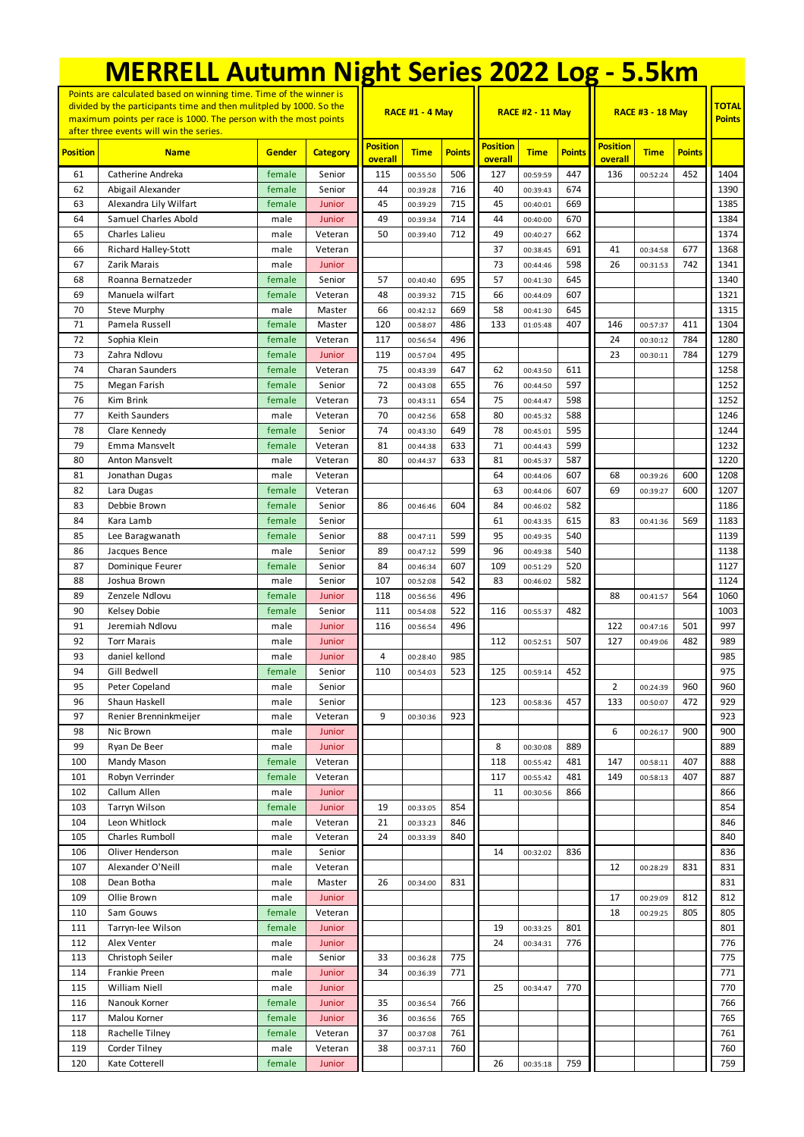| <b>MERRELL Autumn Night Series 2022 Log - 5.5km</b>                                                                                                                                                                                                      |                                      |                |                    |                            |                        |               |                            |                         |               |                            |                               |               |              |
|----------------------------------------------------------------------------------------------------------------------------------------------------------------------------------------------------------------------------------------------------------|--------------------------------------|----------------|--------------------|----------------------------|------------------------|---------------|----------------------------|-------------------------|---------------|----------------------------|-------------------------------|---------------|--------------|
| Points are calculated based on winning time. Time of the winner is<br>divided by the participants time and then mulitpled by 1000. So the<br>maximum points per race is 1000. The person with the most points<br>after three events will win the series. |                                      |                |                    |                            | <b>RACE #1 - 4 May</b> |               |                            | <b>RACE #2 - 11 May</b> |               | <b>RACE #3 - 18 May</b>    | <b>TOTAL</b><br><b>Points</b> |               |              |
| <b>Position</b>                                                                                                                                                                                                                                          | <b>Name</b>                          | Gender         | <b>Category</b>    | <b>Position</b><br>overall | <b>Time</b>            | <b>Points</b> | <b>Position</b><br>overall | <b>Time</b>             | <b>Points</b> | <b>Position</b><br>overall | <b>Time</b>                   | <b>Points</b> |              |
| 61                                                                                                                                                                                                                                                       | Catherine Andreka                    | female         | Senior             | 115                        | 00:55:50               | 506           | 127                        | 00:59:59                | 447           | 136                        | 00:52:24                      | 452           | 1404         |
| 62                                                                                                                                                                                                                                                       | Abigail Alexander                    | female         | Senior             | 44                         | 00:39:28               | 716           | 40                         | 00:39:43                | 674           |                            |                               |               | 1390         |
| 63                                                                                                                                                                                                                                                       | Alexandra Lily Wilfart               | female         | Junior             | 45                         | 00:39:29               | 715           | 45                         | 00:40:01                | 669           |                            |                               |               | 1385         |
| 64                                                                                                                                                                                                                                                       | Samuel Charles Abold                 | male           | Junior             | 49                         | 00:39:34               | 714           | 44                         | 00:40:00                | 670           |                            |                               |               | 1384         |
| 65                                                                                                                                                                                                                                                       | Charles Lalieu                       | male           | Veteran            | 50                         | 00:39:40               | 712           | 49                         | 00:40:27                | 662           |                            |                               |               | 1374         |
| 66<br>67                                                                                                                                                                                                                                                 | Richard Halley-Stott<br>Zarik Marais | male           | Veteran            |                            |                        |               | 37<br>73                   | 00:38:45                | 691<br>598    | 41<br>26                   | 00:34:58                      | 677<br>742    | 1368<br>1341 |
| 68                                                                                                                                                                                                                                                       | Roanna Bernatzeder                   | male<br>female | Junior<br>Senior   | 57                         | 00:40:40               | 695           | 57                         | 00:44:46<br>00:41:30    | 645           |                            | 00:31:53                      |               | 1340         |
| 69                                                                                                                                                                                                                                                       | Manuela wilfart                      | female         | Veteran            | 48                         | 00:39:32               | 715           | 66                         | 00:44:09                | 607           |                            |                               |               | 1321         |
| 70                                                                                                                                                                                                                                                       | <b>Steve Murphy</b>                  | male           | Master             | 66                         | 00:42:12               | 669           | 58                         | 00:41:30                | 645           |                            |                               |               | 1315         |
| 71                                                                                                                                                                                                                                                       | Pamela Russell                       | female         | Master             | 120                        | 00:58:07               | 486           | 133                        | 01:05:48                | 407           | 146                        | 00:57:37                      | 411           | 1304         |
| 72                                                                                                                                                                                                                                                       | Sophia Klein                         | female         | Veteran            | 117                        | 00:56:54               | 496           |                            |                         |               | 24                         | 00:30:12                      | 784           | 1280         |
| 73                                                                                                                                                                                                                                                       | Zahra Ndlovu                         | female         | Junior             | 119                        | 00:57:04               | 495           |                            |                         |               | 23                         | 00:30:11                      | 784           | 1279         |
| 74                                                                                                                                                                                                                                                       | <b>Charan Saunders</b>               | female         | Veteran            | 75                         | 00:43:39               | 647           | 62                         | 00:43:50                | 611           |                            |                               |               | 1258         |
| 75                                                                                                                                                                                                                                                       | Megan Farish                         | female         | Senior             | 72                         | 00:43:08               | 655           | 76                         | 00:44:50                | 597           |                            |                               |               | 1252         |
| 76<br>77                                                                                                                                                                                                                                                 | Kim Brink<br>Keith Saunders          | female<br>male | Veteran<br>Veteran | 73<br>70                   | 00:43:11<br>00:42:56   | 654<br>658    | 75<br>80                   | 00:44:47<br>00:45:32    | 598<br>588    |                            |                               |               | 1252<br>1246 |
| 78                                                                                                                                                                                                                                                       | Clare Kennedy                        | female         | Senior             | 74                         | 00:43:30               | 649           | 78                         | 00:45:01                | 595           |                            |                               |               | 1244         |
| 79                                                                                                                                                                                                                                                       | Emma Mansvelt                        | female         | Veteran            | 81                         | 00:44:38               | 633           | 71                         | 00:44:43                | 599           |                            |                               |               | 1232         |
| 80                                                                                                                                                                                                                                                       | Anton Mansvelt                       | male           | Veteran            | 80                         | 00:44:37               | 633           | 81                         | 00:45:37                | 587           |                            |                               |               | 1220         |
| 81                                                                                                                                                                                                                                                       | Jonathan Dugas                       | male           | Veteran            |                            |                        |               | 64                         | 00:44:06                | 607           | 68                         | 00:39:26                      | 600           | 1208         |
| 82                                                                                                                                                                                                                                                       | Lara Dugas                           | female         | Veteran            |                            |                        |               | 63                         | 00:44:06                | 607           | 69                         | 00:39:27                      | 600           | 1207         |
| 83                                                                                                                                                                                                                                                       | Debbie Brown                         | female         | Senior             | 86                         | 00:46:46               | 604           | 84                         | 00:46:02                | 582           |                            |                               |               | 1186         |
| 84                                                                                                                                                                                                                                                       | Kara Lamb                            | female         | Senior             |                            |                        |               | 61                         | 00:43:35                | 615           | 83                         | 00:41:36                      | 569           | 1183         |
| 85<br>86                                                                                                                                                                                                                                                 | Lee Baragwanath                      | female<br>male | Senior<br>Senior   | 88<br>89                   | 00:47:11               | 599<br>599    | 95<br>96                   | 00:49:35<br>00:49:38    | 540<br>540    |                            |                               |               | 1139<br>1138 |
| 87                                                                                                                                                                                                                                                       | Jacques Bence<br>Dominique Feurer    | female         | Senior             | 84                         | 00:47:12<br>00:46:34   | 607           | 109                        | 00:51:29                | 520           |                            |                               |               | 1127         |
| 88                                                                                                                                                                                                                                                       | Joshua Brown                         | male           | Senior             | 107                        | 00:52:08               | 542           | 83                         | 00:46:02                | 582           |                            |                               |               | 1124         |
| 89                                                                                                                                                                                                                                                       | Zenzele Ndlovu                       | female         | Junior             | 118                        | 00:56:56               | 496           |                            |                         |               | 88                         | 00:41:57                      | 564           | 1060         |
| 90                                                                                                                                                                                                                                                       | Kelsey Dobie                         | female         | Senior             | 111                        | 00:54:08               | 522           | 116                        | 00:55:37                | 482           |                            |                               |               | 1003         |
| 91                                                                                                                                                                                                                                                       | Jeremiah Ndlovu                      | male           | Junior             | 116                        | 00:56:54               | 496           |                            |                         |               | 122                        | 00:47:16                      | 501           | 997          |
| 92                                                                                                                                                                                                                                                       | <b>Torr Marais</b>                   | male           | Junior             |                            |                        |               | 112                        | 00:52:51                | 507           | 127                        | 00:49:06                      | 482           | 989          |
| 93                                                                                                                                                                                                                                                       | daniel kellond                       | male           | Junior             | 4                          | 00:28:40               | 985           |                            |                         |               |                            |                               |               | 985          |
| 94<br>95                                                                                                                                                                                                                                                 | Gill Bedwell<br>Peter Copeland       | female         | Senior<br>Senior   | 110                        | 00:54:03               | 523           | 125                        | 00:59:14                | 452           | 2                          | 00:24:39                      | 960           | 975<br>960   |
| 96                                                                                                                                                                                                                                                       | Shaun Haskell                        | male<br>male   | Senior             |                            |                        |               | 123                        | 00:58:36                | 457           | 133                        | 00:50:07                      | 472           | 929          |
| 97                                                                                                                                                                                                                                                       | Renier Brenninkmeijer                | male           | Veteran            | 9                          | 00:30:36               | 923           |                            |                         |               |                            |                               |               | 923          |
| 98                                                                                                                                                                                                                                                       | Nic Brown                            | male           | Junior             |                            |                        |               |                            |                         |               | 6                          | 00:26:17                      | 900           | 900          |
| 99                                                                                                                                                                                                                                                       | Ryan De Beer                         | male           | Junior             |                            |                        |               | 8                          | 00:30:08                | 889           |                            |                               |               | 889          |
| 100                                                                                                                                                                                                                                                      | Mandy Mason                          | female         | Veteran            |                            |                        |               | 118                        | 00:55:42                | 481           | 147                        | 00:58:11                      | 407           | 888          |
| 101                                                                                                                                                                                                                                                      | Robyn Verrinder                      | female         | Veteran            |                            |                        |               | 117                        | 00:55:42                | 481           | 149                        | 00:58:13                      | 407           | 887          |
| 102                                                                                                                                                                                                                                                      | Callum Allen                         | male           | Junior             |                            |                        |               | 11                         | 00:30:56                | 866           |                            |                               |               | 866          |
| 103                                                                                                                                                                                                                                                      | Tarryn Wilson<br>Leon Whitlock       | female         | Junior             | 19                         | 00:33:05               | 854           |                            |                         |               |                            |                               |               | 854          |
| 104<br>105                                                                                                                                                                                                                                               | Charles Rumboll                      | male<br>male   | Veteran<br>Veteran | 21<br>24                   | 00:33:23<br>00:33:39   | 846<br>840    |                            |                         |               |                            |                               |               | 846<br>840   |
| 106                                                                                                                                                                                                                                                      | Oliver Henderson                     | male           | Senior             |                            |                        |               | 14                         | 00:32:02                | 836           |                            |                               |               | 836          |
| 107                                                                                                                                                                                                                                                      | Alexander O'Neill                    | male           | Veteran            |                            |                        |               |                            |                         |               | 12                         | 00:28:29                      | 831           | 831          |
| 108                                                                                                                                                                                                                                                      | Dean Botha                           | male           | Master             | 26                         | 00:34:00               | 831           |                            |                         |               |                            |                               |               | 831          |
| 109                                                                                                                                                                                                                                                      | Ollie Brown                          | male           | Junior             |                            |                        |               |                            |                         |               | 17                         | 00:29:09                      | 812           | 812          |
| 110                                                                                                                                                                                                                                                      | Sam Gouws                            | female         | Veteran            |                            |                        |               |                            |                         |               | 18                         | 00:29:25                      | 805           | 805          |
| 111                                                                                                                                                                                                                                                      | Tarryn-lee Wilson                    | female         | Junior             |                            |                        |               | 19                         | 00:33:25                | 801           |                            |                               |               | 801          |
| 112                                                                                                                                                                                                                                                      | Alex Venter                          | male           | Junior             |                            |                        |               | 24                         | 00:34:31                | 776           |                            |                               |               | 776          |
| 113<br>114                                                                                                                                                                                                                                               | Christoph Seiler<br>Frankie Preen    | male<br>male   | Senior<br>Junior   | 33<br>34                   | 00:36:28<br>00:36:39   | 775<br>771    |                            |                         |               |                            |                               |               | 775<br>771   |
| 115                                                                                                                                                                                                                                                      | William Niell                        | male           | Junior             |                            |                        |               | 25                         | 00:34:47                | 770           |                            |                               |               | 770          |
| 116                                                                                                                                                                                                                                                      | Nanouk Korner                        | female         | Junior             | 35                         | 00:36:54               | 766           |                            |                         |               |                            |                               |               | 766          |
| 117                                                                                                                                                                                                                                                      | Malou Korner                         | female         | Junior             | 36                         | 00:36:56               | 765           |                            |                         |               |                            |                               |               | 765          |
| 118                                                                                                                                                                                                                                                      | Rachelle Tilney                      | female         | Veteran            | 37                         | 00:37:08               | 761           |                            |                         |               |                            |                               |               | 761          |
| 119                                                                                                                                                                                                                                                      | Corder Tilney                        | male           | Veteran            | 38                         | 00:37:11               | 760           |                            |                         |               |                            |                               |               | 760          |
| 120                                                                                                                                                                                                                                                      | Kate Cotterell                       | female         | Junior             |                            |                        |               | 26                         | 00:35:18                | 759           |                            |                               |               | 759          |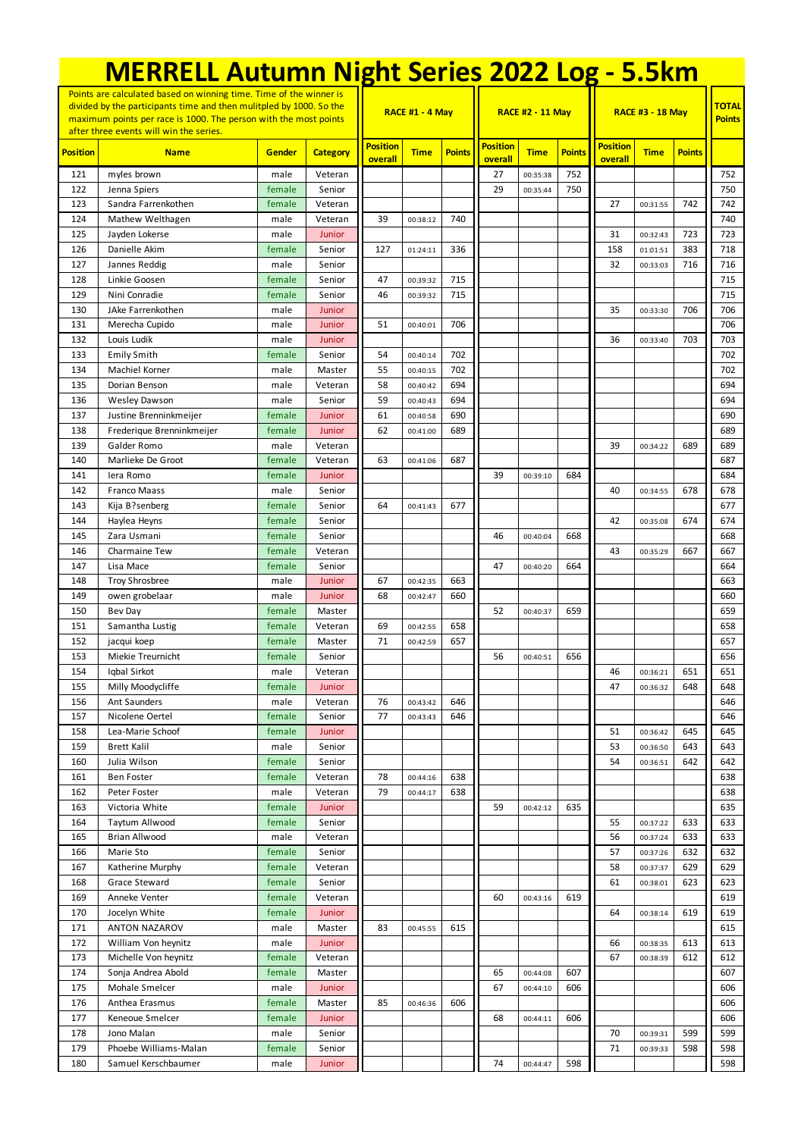| <b>MERRELL Autumn Night Series 2022 Log - 5.5km</b>                                                                                                                                                                                                      |                                         |                |                   |                            |                      |               |                            |                         |               |                            |                               |               |            |
|----------------------------------------------------------------------------------------------------------------------------------------------------------------------------------------------------------------------------------------------------------|-----------------------------------------|----------------|-------------------|----------------------------|----------------------|---------------|----------------------------|-------------------------|---------------|----------------------------|-------------------------------|---------------|------------|
| Points are calculated based on winning time. Time of the winner is<br>divided by the participants time and then mulitpled by 1000. So the<br>maximum points per race is 1000. The person with the most points<br>after three events will win the series. |                                         |                |                   |                            | RACE #1 - 4 May      |               |                            | <b>RACE #2 - 11 May</b> |               | <b>RACE #3 - 18 May</b>    | <b>TOTAL</b><br><b>Points</b> |               |            |
| <b>Position</b>                                                                                                                                                                                                                                          | <b>Name</b>                             | Gender         | <b>Category</b>   | <b>Position</b><br>overall | <b>Time</b>          | <b>Points</b> | <b>Position</b><br>overall | <b>Time</b>             | <b>Points</b> | <b>Position</b><br>overall | <b>Time</b>                   | <b>Points</b> |            |
| 121                                                                                                                                                                                                                                                      | myles brown                             | male           | Veteran           |                            |                      |               | 27                         | 00:35:38                | 752           |                            |                               |               | 752        |
| 122                                                                                                                                                                                                                                                      | Jenna Spiers                            | female         | Senior            |                            |                      |               | 29                         | 00:35:44                | 750           |                            |                               |               | 750        |
| 123                                                                                                                                                                                                                                                      | Sandra Farrenkothen                     | female         | Veteran           |                            |                      |               |                            |                         |               | 27                         | 00:31:55                      | 742           | 742        |
| 124                                                                                                                                                                                                                                                      | Mathew Welthagen                        | male           | Veteran           | 39                         | 00:38:12             | 740           |                            |                         |               |                            |                               |               | 740        |
| 125                                                                                                                                                                                                                                                      | Jayden Lokerse                          | male           | Junior            |                            |                      |               |                            |                         |               | 31                         | 00:32:43                      | 723           | 723        |
| 126                                                                                                                                                                                                                                                      | Danielle Akim                           | female         | Senior            | 127                        | 01:24:11             | 336           |                            |                         |               | 158                        | 01:01:51                      | 383           | 718        |
| 127                                                                                                                                                                                                                                                      | Jannes Reddig                           | male           | Senior            |                            |                      |               |                            |                         |               | 32                         | 00:33:03                      | 716           | 716        |
| 128                                                                                                                                                                                                                                                      | Linkie Goosen                           | female         | Senior            | 47                         | 00:39:32             | 715           |                            |                         |               |                            |                               |               | 715        |
| 129                                                                                                                                                                                                                                                      | Nini Conradie                           | female         | Senior            | 46                         | 00:39:32             | 715           |                            |                         |               |                            |                               |               | 715        |
| 130<br>131                                                                                                                                                                                                                                               | JAke Farrenkothen<br>Merecha Cupido     | male<br>male   | Junior<br>Junior  | 51                         | 00:40:01             | 706           |                            |                         |               | 35                         | 00:33:30                      | 706           | 706<br>706 |
| 132                                                                                                                                                                                                                                                      | Louis Ludik                             | male           | Junior            |                            |                      |               |                            |                         |               | 36                         | 00:33:40                      | 703           | 703        |
| 133                                                                                                                                                                                                                                                      | <b>Emily Smith</b>                      | female         | Senior            | 54                         | 00:40:14             | 702           |                            |                         |               |                            |                               |               | 702        |
| 134                                                                                                                                                                                                                                                      | Machiel Korner                          | male           | Master            | 55                         | 00:40:15             | 702           |                            |                         |               |                            |                               |               | 702        |
| 135                                                                                                                                                                                                                                                      | Dorian Benson                           | male           | Veteran           | 58                         | 00:40:42             | 694           |                            |                         |               |                            |                               |               | 694        |
| 136                                                                                                                                                                                                                                                      | <b>Wesley Dawson</b>                    | male           | Senior            | 59                         | 00:40:43             | 694           |                            |                         |               |                            |                               |               | 694        |
| 137                                                                                                                                                                                                                                                      | Justine Brenninkmeijer                  | female         | Junior            | 61                         | 00:40:58             | 690           |                            |                         |               |                            |                               |               | 690        |
| 138                                                                                                                                                                                                                                                      | Frederique Brenninkmeijer               | female         | Junior            | 62                         | 00:41:00             | 689           |                            |                         |               |                            |                               |               | 689        |
| 139                                                                                                                                                                                                                                                      | Galder Romo                             | male           | Veteran           |                            |                      |               |                            |                         |               | 39                         | 00:34:22                      | 689           | 689        |
| 140                                                                                                                                                                                                                                                      | Marlieke De Groot                       | female         | Veteran           | 63                         | 00:41:06             | 687           |                            |                         |               |                            |                               |               | 687        |
| 141                                                                                                                                                                                                                                                      | lera Romo                               | female         | Junior            |                            |                      |               | 39                         | 00:39:10                | 684           |                            |                               |               | 684        |
| 142                                                                                                                                                                                                                                                      | Franco Maass                            | male           | Senior            |                            |                      |               |                            |                         |               | 40                         | 00:34:55                      | 678           | 678        |
| 143                                                                                                                                                                                                                                                      | Kija B?senberg                          | female         | Senior            | 64                         | 00:41:43             | 677           |                            |                         |               |                            |                               |               | 677        |
| 144                                                                                                                                                                                                                                                      | Haylea Heyns                            | female         | Senior            |                            |                      |               |                            |                         |               | 42                         | 00:35:08                      | 674           | 674        |
| 145                                                                                                                                                                                                                                                      | Zara Usmani                             | female         | Senior            |                            |                      |               | 46                         | 00:40:04                | 668           |                            |                               |               | 668        |
| 146                                                                                                                                                                                                                                                      | Charmaine Tew                           | female         | Veteran           |                            |                      |               |                            |                         |               | 43                         | 00:35:29                      | 667           | 667        |
| 147                                                                                                                                                                                                                                                      | Lisa Mace                               | female         | Senior            |                            |                      |               | 47                         | 00:40:20                | 664           |                            |                               |               | 664        |
| 148<br>149                                                                                                                                                                                                                                               | <b>Troy Shrosbree</b><br>owen grobelaar | male<br>male   | Junior<br>Junior  | 67<br>68                   | 00:42:35<br>00:42:47 | 663<br>660    |                            |                         |               |                            |                               |               | 663<br>660 |
| 150                                                                                                                                                                                                                                                      | Bev Day                                 | female         | Master            |                            |                      |               | 52                         | 00:40:37                | 659           |                            |                               |               | 659        |
| 151                                                                                                                                                                                                                                                      | Samantha Lustig                         | female         | Veteran           | 69                         | 00:42:55             | 658           |                            |                         |               |                            |                               |               | 658        |
| 152                                                                                                                                                                                                                                                      | jacqui koep                             | female         | Master            | 71                         | 00:42:59             | 657           |                            |                         |               |                            |                               |               | 657        |
| 153                                                                                                                                                                                                                                                      | Miekie Treurnicht                       | female         | Senior            |                            |                      |               | 56                         | 00:40:51                | 656           |                            |                               |               | 656        |
| 154                                                                                                                                                                                                                                                      | Iqbal Sirkot                            | male           | Veteran           |                            |                      |               |                            |                         |               | 46                         | 00:36:21                      | 651           | 651        |
| 155                                                                                                                                                                                                                                                      | Milly Moodycliffe                       | female         | Junior            |                            |                      |               |                            |                         |               | 47                         | 00:36:32                      | 648           | 648        |
| 156                                                                                                                                                                                                                                                      | Ant Saunders                            | male           | Veteran           | 76                         | 00:43:42             | 646           |                            |                         |               |                            |                               |               | 646        |
| 157                                                                                                                                                                                                                                                      | Nicolene Oertel                         | female         | Senior            | 77                         | 00:43:43             | 646           |                            |                         |               |                            |                               |               | 646        |
| 158                                                                                                                                                                                                                                                      | Lea-Marie Schoof                        | female         | Junior            |                            |                      |               |                            |                         |               | 51                         | 00:36:42                      | 645           | 645        |
| 159                                                                                                                                                                                                                                                      | <b>Brett Kalil</b>                      | male           | Senior            |                            |                      |               |                            |                         |               | 53                         | 00:36:50                      | 643           | 643        |
| 160                                                                                                                                                                                                                                                      | Julia Wilson                            | female         | Senior            |                            |                      |               |                            |                         |               | 54                         | 00:36:51                      | 642           | 642        |
| 161                                                                                                                                                                                                                                                      | <b>Ben Foster</b>                       | female         | Veteran           | 78                         | 00:44:16             | 638           |                            |                         |               |                            |                               |               | 638        |
| 162                                                                                                                                                                                                                                                      | Peter Foster                            | male           | Veteran           | 79                         | 00:44:17             | 638           |                            |                         |               |                            |                               |               | 638        |
| 163                                                                                                                                                                                                                                                      | Victoria White                          | female         | Junior            |                            |                      |               | 59                         | 00:42:12                | 635           |                            |                               |               | 635        |
| 164                                                                                                                                                                                                                                                      | Taytum Allwood                          | female         | Senior            |                            |                      |               |                            |                         |               | 55                         | 00:37:22                      | 633           | 633        |
| 165<br>166                                                                                                                                                                                                                                               | <b>Brian Allwood</b><br>Marie Sto       | male<br>female | Veteran<br>Senior |                            |                      |               |                            |                         |               | 56<br>57                   | 00:37:24                      | 633<br>632    | 633<br>632 |
| 167                                                                                                                                                                                                                                                      | Katherine Murphy                        | female         | Veteran           |                            |                      |               |                            |                         |               | 58                         | 00:37:26<br>00:37:37          | 629           | 629        |
| 168                                                                                                                                                                                                                                                      | Grace Steward                           | female         | Senior            |                            |                      |               |                            |                         |               | 61                         | 00:38:01                      | 623           | 623        |
| 169                                                                                                                                                                                                                                                      | Anneke Venter                           | female         | Veteran           |                            |                      |               | 60                         | 00:43:16                | 619           |                            |                               |               | 619        |
| 170                                                                                                                                                                                                                                                      | Jocelyn White                           | female         | Junior            |                            |                      |               |                            |                         |               | 64                         | 00:38:14                      | 619           | 619        |
| 171                                                                                                                                                                                                                                                      | <b>ANTON NAZAROV</b>                    | male           | Master            | 83                         | 00:45:55             | 615           |                            |                         |               |                            |                               |               | 615        |
| 172                                                                                                                                                                                                                                                      | William Von heynitz                     | male           | Junior            |                            |                      |               |                            |                         |               | 66                         | 00:38:35                      | 613           | 613        |
| 173                                                                                                                                                                                                                                                      | Michelle Von heynitz                    | female         | Veteran           |                            |                      |               |                            |                         |               | 67                         | 00:38:39                      | 612           | 612        |
| 174                                                                                                                                                                                                                                                      | Sonja Andrea Abold                      | female         | Master            |                            |                      |               | 65                         | 00:44:08                | 607           |                            |                               |               | 607        |
| 175                                                                                                                                                                                                                                                      | Mohale Smelcer                          | male           | Junior            |                            |                      |               | 67                         | 00:44:10                | 606           |                            |                               |               | 606        |
| 176                                                                                                                                                                                                                                                      | Anthea Erasmus                          | female         | Master            | 85                         | 00:46:36             | 606           |                            |                         |               |                            |                               |               | 606        |
| 177                                                                                                                                                                                                                                                      | Keneoue Smelcer                         | female         | Junior            |                            |                      |               | 68                         | 00:44:11                | 606           |                            |                               |               | 606        |
| 178                                                                                                                                                                                                                                                      | Jono Malan                              | male           | Senior            |                            |                      |               |                            |                         |               | 70                         | 00:39:31                      | 599           | 599        |
| 179                                                                                                                                                                                                                                                      | Phoebe Williams-Malan                   | female         | Senior            |                            |                      |               |                            |                         |               | 71                         | 00:39:33                      | 598           | 598        |
| 180                                                                                                                                                                                                                                                      | Samuel Kerschbaumer                     | male           | Junior            |                            |                      |               | 74                         | 00:44:47                | 598           |                            |                               |               | 598        |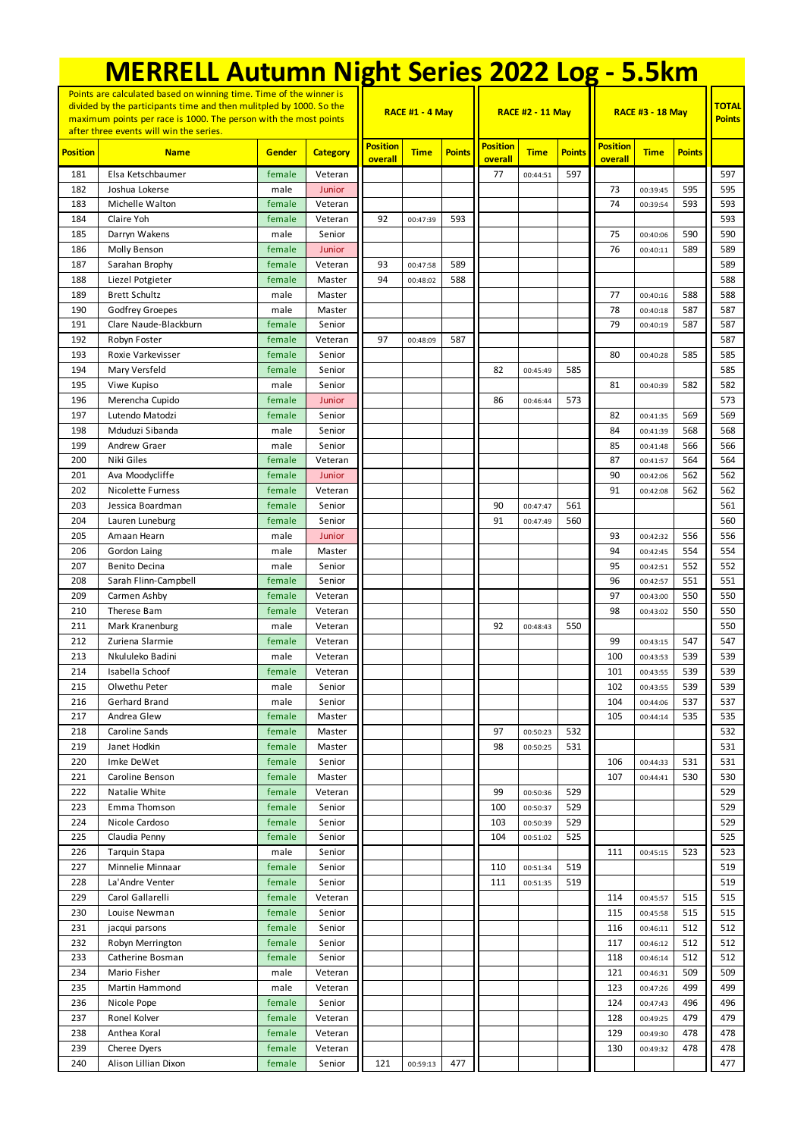|                                                                                                                                                                                                                                                          | <b>MERRELL Autumn Night Series 2022 Log - 5.5km</b> |                  |                   |                            |                        |               |                            |                         |               |                            |                               |               |            |
|----------------------------------------------------------------------------------------------------------------------------------------------------------------------------------------------------------------------------------------------------------|-----------------------------------------------------|------------------|-------------------|----------------------------|------------------------|---------------|----------------------------|-------------------------|---------------|----------------------------|-------------------------------|---------------|------------|
| Points are calculated based on winning time. Time of the winner is<br>divided by the participants time and then mulitpled by 1000. So the<br>maximum points per race is 1000. The person with the most points<br>after three events will win the series. |                                                     |                  |                   |                            | <b>RACE #1 - 4 May</b> |               |                            | <b>RACE #2 - 11 May</b> |               | <b>RACE #3 - 18 May</b>    | <b>TOTAL</b><br><b>Points</b> |               |            |
| <b>Position</b>                                                                                                                                                                                                                                          | <b>Name</b>                                         | Gender           | <b>Category</b>   | <b>Position</b><br>overall | <b>Time</b>            | <b>Points</b> | <b>Position</b><br>overall | <b>Time</b>             | <b>Points</b> | <b>Position</b><br>overall | <b>Time</b>                   | <b>Points</b> |            |
| 181                                                                                                                                                                                                                                                      | Elsa Ketschbaumer                                   | female           | Veteran           |                            |                        |               | 77                         | 00:44:51                | 597           |                            |                               |               | 597        |
| 182                                                                                                                                                                                                                                                      | Joshua Lokerse                                      | male             | Junior            |                            |                        |               |                            |                         |               | 73                         | 00:39:45                      | 595           | 595        |
| 183                                                                                                                                                                                                                                                      | Michelle Walton                                     | female           | Veteran           |                            |                        |               |                            |                         |               | 74                         | 00:39:54                      | 593           | 593        |
| 184                                                                                                                                                                                                                                                      | Claire Yoh                                          | female           | Veteran           | 92                         | 00:47:39               | 593           |                            |                         |               |                            |                               |               | 593        |
| 185                                                                                                                                                                                                                                                      | Darryn Wakens                                       | male             | Senior            |                            |                        |               |                            |                         |               | 75                         | 00:40:06                      | 590           | 590        |
| 186                                                                                                                                                                                                                                                      | Molly Benson                                        | female           | Junior            |                            |                        |               |                            |                         |               | 76                         | 00:40:11                      | 589           | 589        |
| 187                                                                                                                                                                                                                                                      | Sarahan Brophy                                      | female           | Veteran           | 93                         | 00:47:58               | 589           |                            |                         |               |                            |                               |               | 589        |
| 188                                                                                                                                                                                                                                                      | Liezel Potgieter                                    | female           | Master            | 94                         | 00:48:02               | 588           |                            |                         |               |                            |                               |               | 588        |
| 189                                                                                                                                                                                                                                                      | <b>Brett Schultz</b>                                | male             | Master            |                            |                        |               |                            |                         |               | 77                         | 00:40:16                      | 588           | 588        |
| 190<br>191                                                                                                                                                                                                                                               | Godfrey Groepes<br>Clare Naude-Blackburn            | male<br>female   | Master<br>Senior  |                            |                        |               |                            |                         |               | 78<br>79                   | 00:40:18<br>00:40:19          | 587<br>587    | 587<br>587 |
| 192                                                                                                                                                                                                                                                      | Robyn Foster                                        | female           | Veteran           | 97                         | 00:48:09               | 587           |                            |                         |               |                            |                               |               | 587        |
| 193                                                                                                                                                                                                                                                      | Roxie Varkevisser                                   | female           | Senior            |                            |                        |               |                            |                         |               | 80                         | 00:40:28                      | 585           | 585        |
| 194                                                                                                                                                                                                                                                      | Mary Versfeld                                       | female           | Senior            |                            |                        |               | 82                         | 00:45:49                | 585           |                            |                               |               | 585        |
| 195                                                                                                                                                                                                                                                      | Viwe Kupiso                                         | male             | Senior            |                            |                        |               |                            |                         |               | 81                         | 00:40:39                      | 582           | 582        |
| 196                                                                                                                                                                                                                                                      | Merencha Cupido                                     | female           | Junior            |                            |                        |               | 86                         | 00:46:44                | 573           |                            |                               |               | 573        |
| 197                                                                                                                                                                                                                                                      | Lutendo Matodzi                                     | female           | Senior            |                            |                        |               |                            |                         |               | 82                         | 00:41:35                      | 569           | 569        |
| 198                                                                                                                                                                                                                                                      | Mduduzi Sibanda                                     | male             | Senior            |                            |                        |               |                            |                         |               | 84                         | 00:41:39                      | 568           | 568        |
| 199                                                                                                                                                                                                                                                      | Andrew Graer                                        | male             | Senior            |                            |                        |               |                            |                         |               | 85                         | 00:41:48                      | 566           | 566        |
| 200                                                                                                                                                                                                                                                      | Niki Giles                                          | female           | Veteran           |                            |                        |               |                            |                         |               | 87                         | 00:41:57                      | 564           | 564        |
| 201                                                                                                                                                                                                                                                      | Ava Moodycliffe                                     | female           | Junior            |                            |                        |               |                            |                         |               | 90                         | 00:42:06                      | 562           | 562        |
| 202                                                                                                                                                                                                                                                      | <b>Nicolette Furness</b>                            | female           | Veteran           |                            |                        |               |                            |                         |               | 91                         | 00:42:08                      | 562           | 562        |
| 203                                                                                                                                                                                                                                                      | Jessica Boardman                                    | female           | Senior            |                            |                        |               | 90                         | 00:47:47                | 561           |                            |                               |               | 561        |
| 204                                                                                                                                                                                                                                                      | Lauren Luneburg                                     | female           | Senior            |                            |                        |               | 91                         | 00:47:49                | 560           |                            |                               |               | 560        |
| 205                                                                                                                                                                                                                                                      | Amaan Hearn                                         | male             | Junior            |                            |                        |               |                            |                         |               | 93                         | 00:42:32                      | 556           | 556        |
| 206                                                                                                                                                                                                                                                      | Gordon Laing                                        | male             | Master            |                            |                        |               |                            |                         |               | 94                         | 00:42:45                      | 554           | 554        |
| 207                                                                                                                                                                                                                                                      | <b>Benito Decina</b>                                | male             | Senior            |                            |                        |               |                            |                         |               | 95<br>96                   | 00:42:51                      | 552           | 552        |
| 208<br>209                                                                                                                                                                                                                                               | Sarah Flinn-Campbell<br>Carmen Ashby                | female<br>female | Senior<br>Veteran |                            |                        |               |                            |                         |               | 97                         | 00:42:57<br>00:43:00          | 551<br>550    | 551<br>550 |
| 210                                                                                                                                                                                                                                                      | Therese Bam                                         | female           | Veteran           |                            |                        |               |                            |                         |               | 98                         | 00:43:02                      | 550           | 550        |
| 211                                                                                                                                                                                                                                                      | Mark Kranenburg                                     | male             | Veteran           |                            |                        |               | 92                         | 00:48:43                | 550           |                            |                               |               | 550        |
| 212                                                                                                                                                                                                                                                      | Zuriena Slarmie                                     | female           | Veteran           |                            |                        |               |                            |                         |               | 99                         | 00:43:15                      | 547           | 547        |
| 213                                                                                                                                                                                                                                                      | Nkululeko Badini                                    | male             | Veteran           |                            |                        |               |                            |                         |               | 100                        | 00:43:53                      | 539           | 539        |
| 214                                                                                                                                                                                                                                                      | Isabella Schoof                                     | female           | Veteran           |                            |                        |               |                            |                         |               | 101                        | 00:43:55                      | 539           | 539        |
| 215                                                                                                                                                                                                                                                      | Olwethu Peter                                       | male             | Senior            |                            |                        |               |                            |                         |               | 102                        | 00:43:55                      | 539           | 539        |
| 216                                                                                                                                                                                                                                                      | Gerhard Brand                                       | male             | Senior            |                            |                        |               |                            |                         |               | 104                        | 00:44:06                      | 537           | 537        |
| 217                                                                                                                                                                                                                                                      | Andrea Glew                                         | female           | Master            |                            |                        |               |                            |                         |               | 105                        | 00:44:14                      | 535           | 535        |
| 218                                                                                                                                                                                                                                                      | Caroline Sands                                      | female           | Master            |                            |                        |               | 97                         | 00:50:23                | 532           |                            |                               |               | 532        |
| 219                                                                                                                                                                                                                                                      | Janet Hodkin                                        | female           | Master            |                            |                        |               | 98                         | 00:50:25                | 531           |                            |                               |               | 531        |
| 220                                                                                                                                                                                                                                                      | Imke DeWet                                          | female           | Senior            |                            |                        |               |                            |                         |               | 106                        | 00:44:33                      | 531           | 531        |
| 221                                                                                                                                                                                                                                                      | Caroline Benson                                     | female           | Master            |                            |                        |               |                            |                         |               | 107                        | 00:44:41                      | 530           | 530        |
| 222                                                                                                                                                                                                                                                      | Natalie White                                       | female           | Veteran           |                            |                        |               | 99                         | 00:50:36                | 529           |                            |                               |               | 529        |
| 223                                                                                                                                                                                                                                                      | Emma Thomson                                        | female           | Senior            |                            |                        |               | 100                        | 00:50:37                | 529           |                            |                               |               | 529        |
| 224                                                                                                                                                                                                                                                      | Nicole Cardoso                                      | female           | Senior            |                            |                        |               | 103                        | 00:50:39                | 529           |                            |                               |               | 529        |
| 225<br>226                                                                                                                                                                                                                                               | Claudia Penny<br>Tarquin Stapa                      | female<br>male   | Senior<br>Senior  |                            |                        |               | 104                        | 00:51:02                | 525           | 111                        | 00:45:15                      | 523           | 525<br>523 |
| 227                                                                                                                                                                                                                                                      | Minnelie Minnaar                                    | female           | Senior            |                            |                        |               | 110                        | 00:51:34                | 519           |                            |                               |               | 519        |
| 228                                                                                                                                                                                                                                                      | La'Andre Venter                                     | female           | Senior            |                            |                        |               | 111                        | 00:51:35                | 519           |                            |                               |               | 519        |
| 229                                                                                                                                                                                                                                                      | Carol Gallarelli                                    | female           | Veteran           |                            |                        |               |                            |                         |               | 114                        | 00:45:57                      | 515           | 515        |
| 230                                                                                                                                                                                                                                                      | Louise Newman                                       | female           | Senior            |                            |                        |               |                            |                         |               | 115                        | 00:45:58                      | 515           | 515        |
| 231                                                                                                                                                                                                                                                      | jacqui parsons                                      | female           | Senior            |                            |                        |               |                            |                         |               | 116                        | 00:46:11                      | 512           | 512        |
| 232                                                                                                                                                                                                                                                      | Robyn Merrington                                    | female           | Senior            |                            |                        |               |                            |                         |               | 117                        | 00:46:12                      | 512           | 512        |
| 233                                                                                                                                                                                                                                                      | Catherine Bosman                                    | female           | Senior            |                            |                        |               |                            |                         |               | 118                        | 00:46:14                      | 512           | 512        |
| 234                                                                                                                                                                                                                                                      | Mario Fisher                                        | male             | Veteran           |                            |                        |               |                            |                         |               | 121                        | 00:46:31                      | 509           | 509        |
| 235                                                                                                                                                                                                                                                      | Martin Hammond                                      | male             | Veteran           |                            |                        |               |                            |                         |               | 123                        | 00:47:26                      | 499           | 499        |
| 236                                                                                                                                                                                                                                                      | Nicole Pope                                         | female           | Senior            |                            |                        |               |                            |                         |               | 124                        | 00:47:43                      | 496           | 496        |
| 237                                                                                                                                                                                                                                                      | Ronel Kolver                                        | female           | Veteran           |                            |                        |               |                            |                         |               | 128                        | 00:49:25                      | 479           | 479        |
| 238                                                                                                                                                                                                                                                      | Anthea Koral                                        | female           | Veteran           |                            |                        |               |                            |                         |               | 129                        | 00:49:30                      | 478           | 478        |
| 239                                                                                                                                                                                                                                                      | Cheree Dyers                                        | female           | Veteran           |                            |                        |               |                            |                         |               | 130                        | 00:49:32                      | 478           | 478        |
| 240                                                                                                                                                                                                                                                      | Alison Lillian Dixon                                | female           | Senior            | 121                        | 00:59:13               | 477           |                            |                         |               |                            |                               |               | 477        |